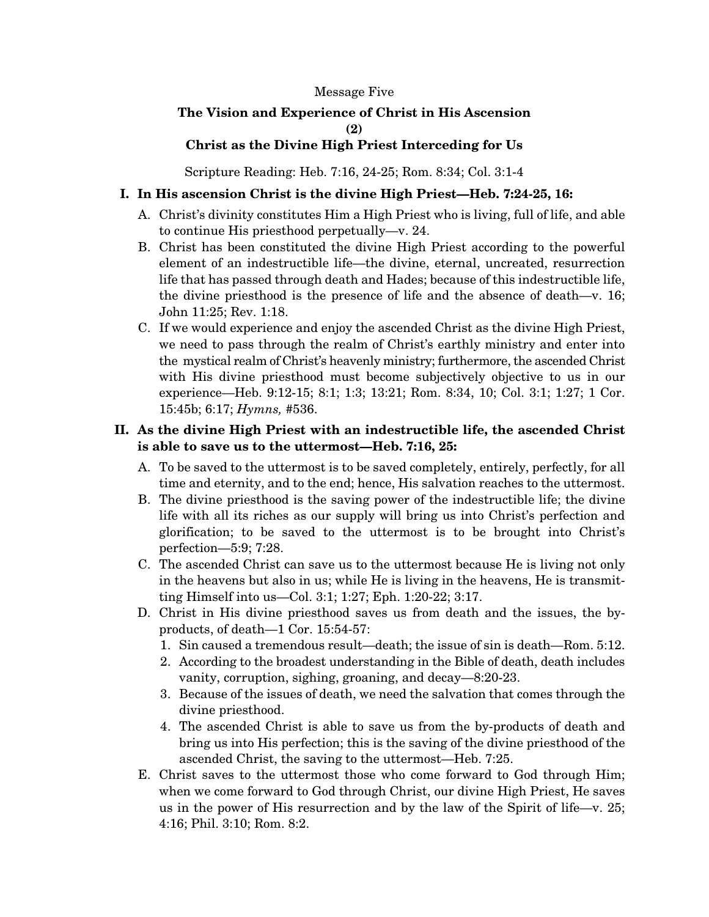#### Message Five

# **The Vision and Experience of Christ in His Ascension (2)**

#### **Christ as the Divine High Priest Interceding for Us**

Scripture Reading: Heb. 7:16, 24-25; Rom. 8:34; Col. 3:1-4

### **I. In His ascension Christ is the divine High Priest—Heb. 7:24-25, 16:**

- A. Christ's divinity constitutes Him a High Priest who is living, full of life, and able to continue His priesthood perpetually—v. 24.
- B. Christ has been constituted the divine High Priest according to the powerful element of an indestructible life—the divine, eternal, uncreated, resurrection life that has passed through death and Hades; because of this indestructible life, the divine priesthood is the presence of life and the absence of death—v. 16; John 11:25; Rev. 1:18.
- C. If we would experience and enjoy the ascended Christ as the divine High Priest, we need to pass through the realm of Christ's earthly ministry and enter into the mystical realm of Christ's heavenly ministry; furthermore, the ascended Christ with His divine priesthood must become subjectively objective to us in our experience—Heb. 9:12-15; 8:1; 1:3; 13:21; Rom. 8:34, 10; Col. 3:1; 1:27; 1 Cor. 15:45b; 6:17; *Hymns,* #536.

# **II. As the divine High Priest with an indestructible life, the ascended Christ is able to save us to the uttermost—Heb. 7:16, 25:**

- A. To be saved to the uttermost is to be saved completely, entirely, perfectly, for all time and eternity, and to the end; hence, His salvation reaches to the uttermost.
- B. The divine priesthood is the saving power of the indestructible life; the divine life with all its riches as our supply will bring us into Christ's perfection and glorification; to be saved to the uttermost is to be brought into Christ's perfection—5:9; 7:28.
- C. The ascended Christ can save us to the uttermost because He is living not only in the heavens but also in us; while He is living in the heavens, He is transmitting Himself into us—Col. 3:1; 1:27; Eph. 1:20-22; 3:17.
- D. Christ in His divine priesthood saves us from death and the issues, the byproducts, of death—1 Cor. 15:54-57:
	- 1. Sin caused a tremendous result—death; the issue of sin is death—Rom. 5:12.
	- 2. According to the broadest understanding in the Bible of death, death includes vanity, corruption, sighing, groaning, and decay—8:20-23.
	- 3. Because of the issues of death, we need the salvation that comes through the divine priesthood.
	- 4. The ascended Christ is able to save us from the by-products of death and bring us into His perfection; this is the saving of the divine priesthood of the ascended Christ, the saving to the uttermost—Heb. 7:25.
- E. Christ saves to the uttermost those who come forward to God through Him; when we come forward to God through Christ, our divine High Priest, He saves us in the power of His resurrection and by the law of the Spirit of life—v. 25; 4:16; Phil. 3:10; Rom. 8:2.